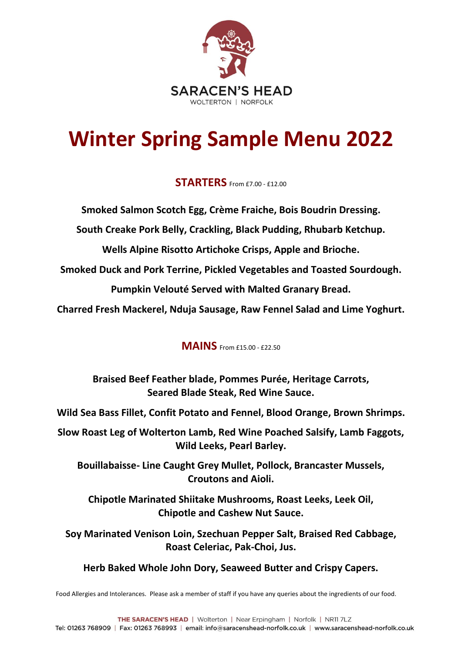

## **Winter Spring Sample Menu 2022**

### **STARTERS** From £7.00 - £12.00

**Smoked Salmon Scotch Egg, Crème Fraiche, Bois Boudrin Dressing.**

**South Creake Pork Belly, Crackling, Black Pudding, Rhubarb Ketchup.**

**Wells Alpine Risotto Artichoke Crisps, Apple and Brioche.**

**Smoked Duck and Pork Terrine, Pickled Vegetables and Toasted Sourdough.**

**Pumpkin Velouté Served with Malted Granary Bread.**

**Charred Fresh Mackerel, Nduja Sausage, Raw Fennel Salad and Lime Yoghurt.**

### **MAINS** From £15.00 - £22.50

**Braised Beef Feather blade, Pommes Purée, Heritage Carrots, Seared Blade Steak, Red Wine Sauce.**

**Wild Sea Bass Fillet, Confit Potato and Fennel, Blood Orange, Brown Shrimps.**

**Slow Roast Leg of Wolterton Lamb, Red Wine Poached Salsify, Lamb Faggots, Wild Leeks, Pearl Barley.**

**Bouillabaisse- Line Caught Grey Mullet, Pollock, Brancaster Mussels, Croutons and Aioli.**

**Chipotle Marinated Shiitake Mushrooms, Roast Leeks, Leek Oil, Chipotle and Cashew Nut Sauce.**

**Soy Marinated Venison Loin, Szechuan Pepper Salt, Braised Red Cabbage, Roast Celeriac, Pak-Choi, Jus.**

**Herb Baked Whole John Dory, Seaweed Butter and Crispy Capers.**

Food Allergies and Intolerances. Please ask a member of staff if you have any queries about the ingredients of our food.